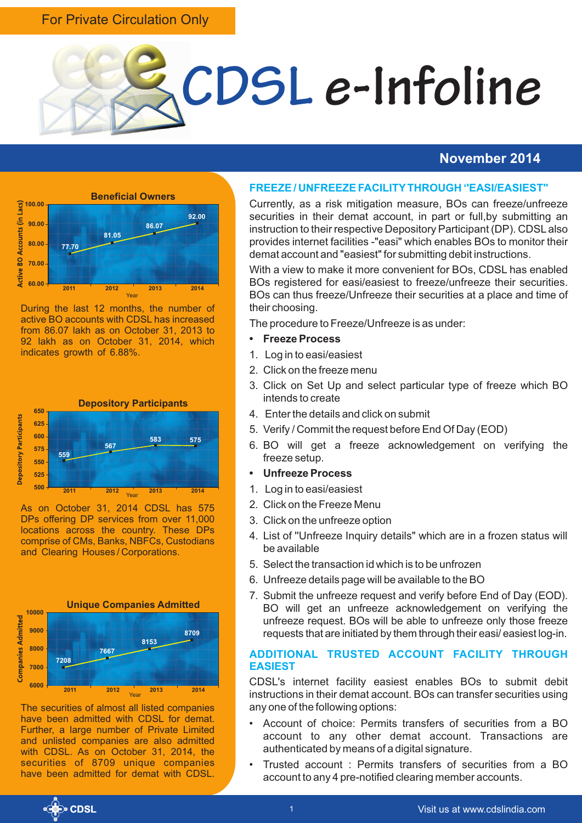#### For Private Circulation Only



#### **November 2014**



During the last 12 months, the number of active BO accounts with CDSL has increased from 86.07 lakh as on October 31, 2013 to 92 lakh as on October 31, 2014, which indicates growth of 6.88%.



As on October 31, 2014 CDSL has 575 DPs offering DP services from over 11,000 locations across the country. These DPs comprise of CMs, Banks, NBFCs, Custodians and Clearing Houses / Corporations.



The securities of almost all listed companies have been admitted with CDSL for demat. Further, a large number of Private Limited and unlisted companies are also admitted with CDSL. As on October 31, 2014, the securities of 8709 unique companies have been admitted for demat with CDSL.

#### **FREEZE / UNFREEZE FACILITYTHROUGH ''EASI/EASIEST''**

Currently, as a risk mitigation measure, BOs can freeze/unfreeze securities in their demat account, in part or full,by submitting an instruction to their respective Depository Participant (DP). CDSL also provides internet facilities -"easi" which enables BOs to monitor their demat account and "easiest" for submitting debit instructions.

With a view to make it more convenient for BOs, CDSL has enabled BOs registered for easi/easiest to freeze/unfreeze their securities. BOs can thus freeze/Unfreeze their securities at a place and time of their choosing.

The procedure to Freeze/Unfreeze is as under:

- **• Freeze Process**
- 1. Log in to easi/easiest
- 2. Click on the freeze menu
- 3. Click on Set Up and select particular type of freeze which BO intends to create
- 4. Enter the details and click on submit
- 5. Verify / Commit the request before End Of Day (EOD)
- 6. BO will get a freeze acknowledgement on verifying the freeze setup.
- **• Unfreeze Process**
- 1. Log in to easi/easiest
- 2. Click on the Freeze Menu
- 3. Click on the unfreeze option
- 4. List of ''Unfreeze Inquiry details" which are in a frozen status will be available
- 5. Select the transaction id which is to be unfrozen
- 6. Unfreeze details page will be available to the BO
- 7. Submit the unfreeze request and verify before End of Day (EOD). BO will get an unfreeze acknowledgement on verifying the unfreeze request. BOs will be able to unfreeze only those freeze requests that are initiated by them through their easi/ easiest log-in.

#### **ADDITIONAL TRUSTED ACCOUNT FACILITY THROUGH EASIEST**

CDSL's internet facility easiest enables BOs to submit debit instructions in their demat account. BOs can transfer securities using any one of the following options:

- Account of choice: Permits transfers of securities from a BO account to any other demat account. Transactions are authenticated by means of a digital signature.
- Trusted account : Permits transfers of securities from a BO account to any 4 pre-notified clearing member accounts.

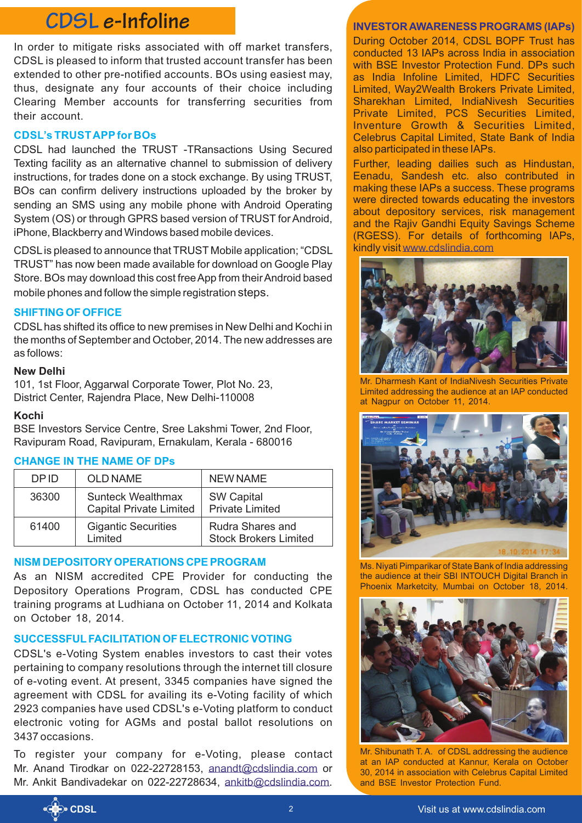## **CDSL e-Infoline INVESTOR AWARENESS PROGRAMS (IAPs)**

In order to mitigate risks associated with off market transfers, CDSL is pleased to inform that trusted account transfer has been extended to other pre-notified accounts. BOs using easiest may, thus, designate any four accounts of their choice including Clearing Member accounts for transferring securities from their account.

#### **CDSL's TRUST APPfor BOs**

CDSL had launched the TRUST -TRansactions Using Secured Texting facility as an alternative channel to submission of delivery instructions, for trades done on a stock exchange. By using TRUST, BOs can confirm delivery instructions uploaded by the broker by sending an SMS using any mobile phone with Android Operating System (OS) or through GPRS based version of TRUST for Android, iPhone, Blackberry and Windows based mobile devices.

CDSL is pleased to announce that TRUST Mobile application; "CDSL TRUST" has now been made available for download on Google Play Store. BOs may download this cost free App from their Android based mobile phones and follow the simple registration steps.

#### **SHIFTING OF OFFICE**

CDSL has shifted its office to new premises in New Delhi and Kochi in the months of September and October, 2014. The new addresses are as follows:

#### **New Delhi**

101, 1st Floor, Aggarwal Corporate Tower, Plot No. 23, District Center, Rajendra Place, New Delhi-110008

#### **Kochi**

BSE Investors Service Centre, Sree Lakshmi Tower, 2nd Floor, Ravipuram Road, Ravipuram, Ernakulam, Kerala - 680016

#### **CHANGE IN THE NAME OF DPs**

| DP ID | <b>OLD NAME</b>                                            | <b>NEW NAME</b>                                  |
|-------|------------------------------------------------------------|--------------------------------------------------|
| 36300 | <b>Sunteck Wealthmax</b><br><b>Capital Private Limited</b> | <b>SW Capital</b><br><b>Private Limited</b>      |
| 61400 | <b>Gigantic Securities</b><br>Limited                      | Rudra Shares and<br><b>Stock Brokers Limited</b> |

#### **NISM DEPOSITORYOPERATIONS CPE PROGRAM**

As an NISM accredited CPE Provider for conducting the Depository Operations Program, CDSL has conducted CPE training programs at Ludhiana on October 11, 2014 and Kolkata on October 18, 2014.

### **SUCCESSFULFACILITATION OF ELECTRONIC VOTING**

CDSL's e-Voting System enables investors to cast their votes pertaining to company resolutions through the internet till closure of e-voting event. At present, 3345 companies have signed the agreement with CDSL for availing its e-Voting facility of which 2923 companies have used CDSL's e-Voting platform to conduct electronic voting for AGMs and postal ballot resolutions on 3437 occasions.

To register your company for e-Voting, please contact Mr. Anand Tirodkar on 022-22728153, anandt@cdslindia.com or Mr. Ankit Bandivadekar on 022-22728634, ankitb@cdslindia.com.

During October 2014, CDSL BOPF Trust has conducted 13 IAPs across India in association with BSE Investor Protection Fund. DPs such as India Infoline Limited, HDFC Securities Limited, Way2Wealth Brokers Private Limited, Sharekhan Limited, IndiaNivesh Securities Private Limited, PCS Securities Limited, Inventure Growth & Securities Limited, Celebrus Capital Limited, State Bank of India also participated in these IAPs.

Further, leading dailies such as Hindustan, Eenadu, Sandesh etc. also contributed in making these IAPs a success. These programs were directed towards educating the investors about depository services, risk management and the Rajiv Gandhi Equity Savings Scheme (RGESS). For details of forthcoming IAPs, kindly visit [www.cdslindia.com](http://www.cdslindia.com/)



Mr. Dharmesh Kant of IndiaNivesh Securities Private Limited addressing the audience at an IAP conducted at Nagpur on October 11, 2014.



Ms. Niyati Pimparikar of State Bank of India addressing the audience at their SBI INTOUCH Digital Branch in Phoenix Marketcity, Mumbai on October 18, 2014.



Mr. Shibunath T. A. of CDSL addressing the audience at an IAP conducted at Kannur, Kerala on October 30, 2014 in association with Celebrus Capital Limited and BSE Investor Protection Fund.

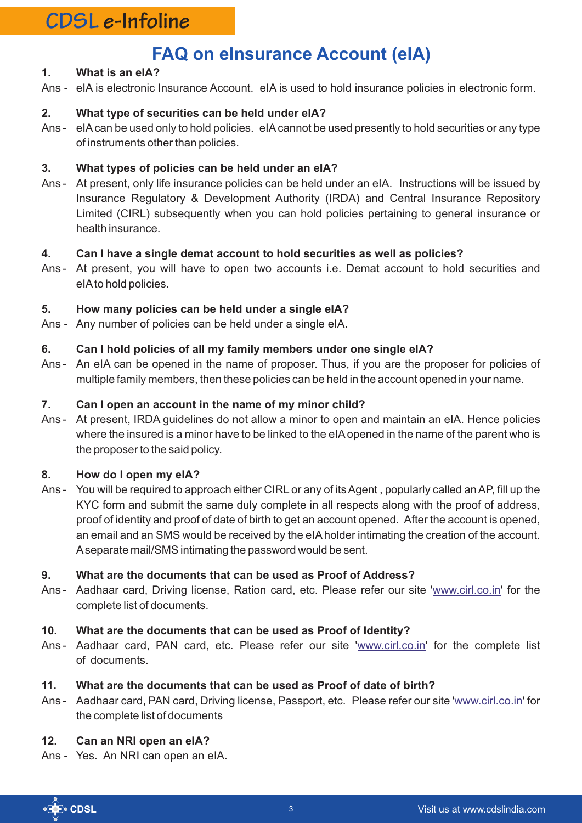## **CDSL e-Infoline**

## **FAQ on eInsurance Account (eIA)**

#### **1. What is an eIA?**

Ans - eIA is electronic Insurance Account. eIA is used to hold insurance policies in electronic form.

#### **2. What type of securities can be held under eIA?**

Ans - eIAcan be used only to hold policies. eIAcannot be used presently to hold securities or any type of instruments other than policies.

#### **3. What types of policies can be held under an eIA?**

Ans - At present, only life insurance policies can be held under an eIA. Instructions will be issued by Insurance Regulatory & Development Authority (IRDA) and Central Insurance Repository Limited (CIRL) subsequently when you can hold policies pertaining to general insurance or health insurance.

#### **4. Can I have a single demat account to hold securities as well as policies?**

Ans - At present, you will have to open two accounts i.e. Demat account to hold securities and eIAto hold policies.

#### **5. How many policies can be held under a single eIA?**

Ans - Any number of policies can be held under a single eIA.

#### **6. Can I hold policies of all my family members under one single eIA?**

Ans - An eIA can be opened in the name of proposer. Thus, if you are the proposer for policies of multiple family members, then these policies can be held in the account opened in your name.

#### **7. Can I open an account in the name of my minor child?**

Ans - At present, IRDA guidelines do not allow a minor to open and maintain an eIA. Hence policies where the insured is a minor have to be linked to the eIAopened in the name of the parent who is the proposer to the said policy.

#### **8. How do I open my eIA?**

Ans - You will be required to approach either CIRL or any of its Agent , popularly called an AP, fill up the KYC form and submit the same duly complete in all respects along with the proof of address, proof of identity and proof of date of birth to get an account opened. After the account is opened, an email and an SMS would be received by the eIAholder intimating the creation of the account. Aseparate mail/SMS intimating the password would be sent.

#### **9. What are the documents that can be used as Proof of Address?**

Ans - Aadhaar card, Driving license, Ration card, etc. Please refer our site '<www.cirl.co.in>' for the complete list of documents.

#### **10. What are the documents that can be used as Proof of Identity?**

Ans - Aadhaar card, PAN card, etc. Please refer our site '<www.cirl.co.in>' for the complete list of documents.

#### **11. What are the documents that can be used as Proof of date of birth?**

Ans - Aadhaar card, PAN card, Driving license, Passport, etc. Please refer our site '<www.cirl.co.in>' for the complete list of documents

#### **12. Can an NRI open an eIA?**

Ans - Yes. An NRI can open an eIA.

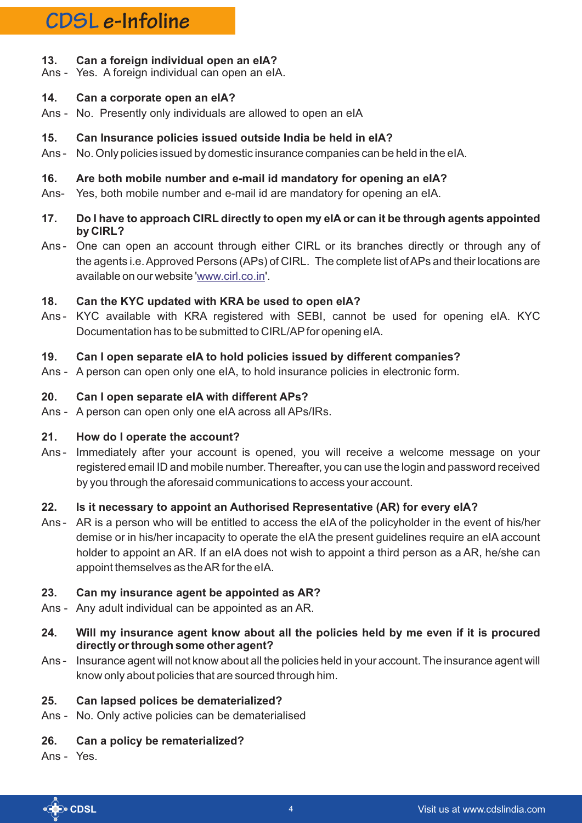## **CDSL e-Infoline**

#### **13. Can a foreign individual open an eIA?**

Ans - Yes. A foreign individual can open an eIA.

#### **14. Can a corporate open an eIA?**

Ans - No. Presently only individuals are allowed to open an eIA

#### **15. Can Insurance policies issued outside India be held in eIA?**

Ans - No. Only policies issued by domestic insurance companies can be held in the eIA.

#### **16. Are both mobile number and e-mail id mandatory for opening an eIA?**

Ans- Yes, both mobile number and e-mail id are mandatory for opening an eIA.

#### **17. Do I have to approach CIRL directly to open my eIA or can it be through agents appointed by CIRL?**

Ans - One can open an account through either CIRL or its branches directly or through any of the agents i.e. Approved Persons (APs) of CIRL. The complete list of APs and their locations are available on our website '<www.cirl.co.in>'.

#### **18. Can the KYC updated with KRA be used to open eIA?**

Ans - KYC available with KRA registered with SEBI, cannot be used for opening eIA. KYC Documentation has to be submitted to CIRL/AP for opening eIA.

#### **19. Can I open separate eIA to hold policies issued by different companies?**

Ans - A person can open only one eIA, to hold insurance policies in electronic form.

#### **20. Can I open separate eIA with different APs?**

Ans - A person can open only one eIA across all APs/IRs.

#### **21. How do I operate the account?**

Ans - Immediately after your account is opened, you will receive a welcome message on your registered email ID and mobile number. Thereafter, you can use the login and password received by you through the aforesaid communications to access your account.

#### **22. Is it necessary to appoint an Authorised Representative (AR) for every eIA?**

Ans - AR is a person who will be entitled to access the eIA of the policyholder in the event of his/her demise or in his/her incapacity to operate the eIA the present guidelines require an eIA account holder to appoint an AR. If an eIA does not wish to appoint a third person as a AR, he/she can appoint themselves as the AR for the eIA.

#### **23. Can my insurance agent be appointed as AR?**

- Ans Any adult individual can be appointed as an AR.
- **24. Will my insurance agent know about all the policies held by me even if it is procured directly or through some other agent?**
- Ans Insurance agent will not know about all the policies held in your account. The insurance agent will know only about policies that are sourced through him.

#### **25. Can lapsed polices be dematerialized?**

Ans - No. Only active policies can be dematerialised

#### **26. Can a policy be rematerialized?**

Ans - Yes.